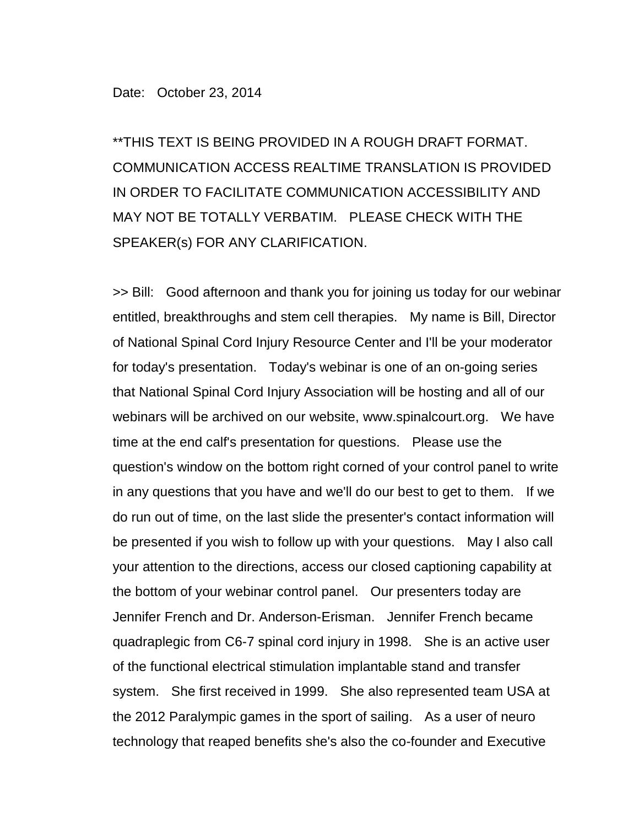\*\*THIS TEXT IS BEING PROVIDED IN A ROUGH DRAFT FORMAT. COMMUNICATION ACCESS REALTIME TRANSLATION IS PROVIDED IN ORDER TO FACILITATE COMMUNICATION ACCESSIBILITY AND MAY NOT BE TOTALLY VERBATIM. PLEASE CHECK WITH THE SPEAKER(s) FOR ANY CLARIFICATION.

>> Bill: Good afternoon and thank you for joining us today for our webinar entitled, breakthroughs and stem cell therapies. My name is Bill, Director of National Spinal Cord Injury Resource Center and I'll be your moderator for today's presentation. Today's webinar is one of an on-going series that National Spinal Cord Injury Association will be hosting and all of our webinars will be archived on our website, www.spinalcourt.org. We have time at the end calf's presentation for questions. Please use the question's window on the bottom right corned of your control panel to write in any questions that you have and we'll do our best to get to them. If we do run out of time, on the last slide the presenter's contact information will be presented if you wish to follow up with your questions. May I also call your attention to the directions, access our closed captioning capability at the bottom of your webinar control panel. Our presenters today are Jennifer French and Dr. Anderson-Erisman. Jennifer French became quadraplegic from C6-7 spinal cord injury in 1998. She is an active user of the functional electrical stimulation implantable stand and transfer system. She first received in 1999. She also represented team USA at the 2012 Paralympic games in the sport of sailing. As a user of neuro technology that reaped benefits she's also the co-founder and Executive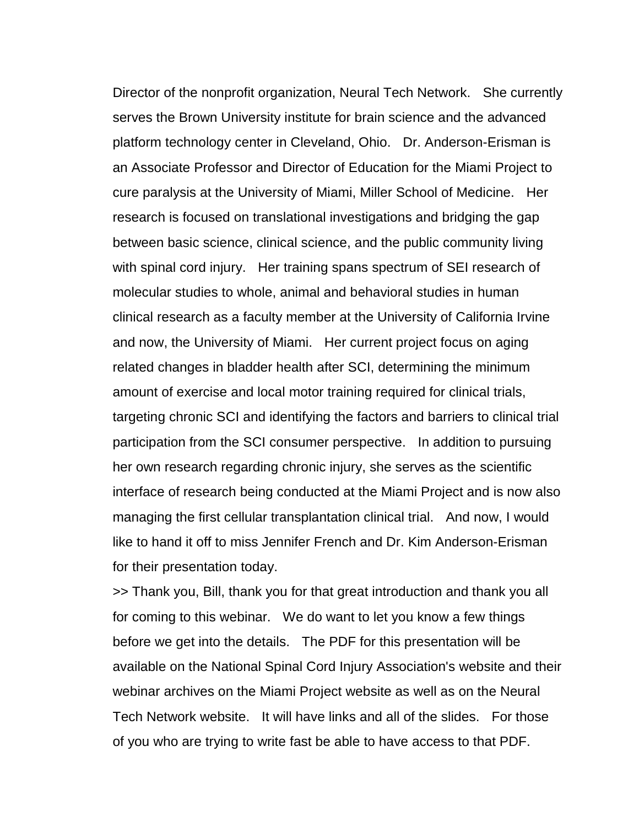Director of the nonprofit organization, Neural Tech Network. She currently serves the Brown University institute for brain science and the advanced platform technology center in Cleveland, Ohio. Dr. Anderson-Erisman is an Associate Professor and Director of Education for the Miami Project to cure paralysis at the University of Miami, Miller School of Medicine. Her research is focused on translational investigations and bridging the gap between basic science, clinical science, and the public community living with spinal cord injury. Her training spans spectrum of SEI research of molecular studies to whole, animal and behavioral studies in human clinical research as a faculty member at the University of California Irvine and now, the University of Miami. Her current project focus on aging related changes in bladder health after SCI, determining the minimum amount of exercise and local motor training required for clinical trials, targeting chronic SCI and identifying the factors and barriers to clinical trial participation from the SCI consumer perspective. In addition to pursuing her own research regarding chronic injury, she serves as the scientific interface of research being conducted at the Miami Project and is now also managing the first cellular transplantation clinical trial. And now, I would like to hand it off to miss Jennifer French and Dr. Kim Anderson-Erisman for their presentation today.

>> Thank you, Bill, thank you for that great introduction and thank you all for coming to this webinar. We do want to let you know a few things before we get into the details. The PDF for this presentation will be available on the National Spinal Cord Injury Association's website and their webinar archives on the Miami Project website as well as on the Neural Tech Network website. It will have links and all of the slides. For those of you who are trying to write fast be able to have access to that PDF.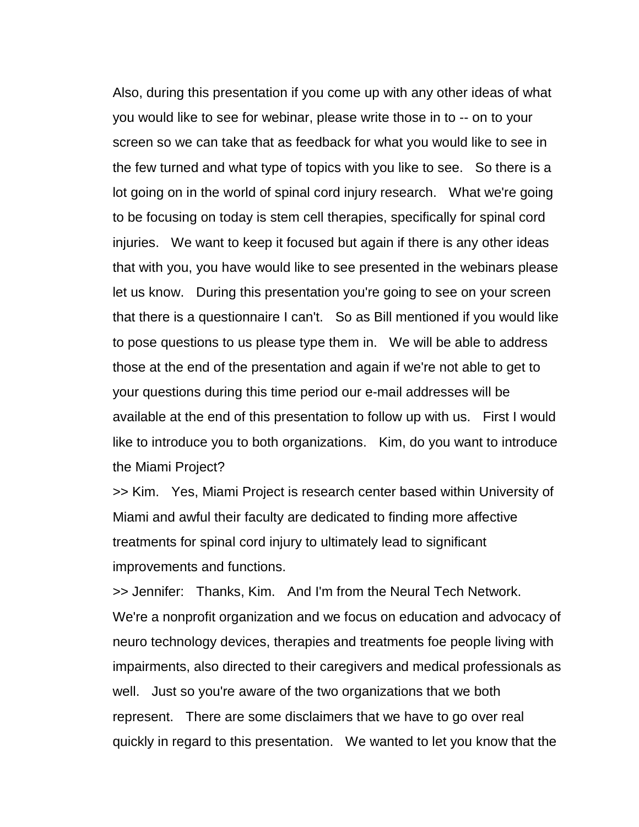Also, during this presentation if you come up with any other ideas of what you would like to see for webinar, please write those in to -- on to your screen so we can take that as feedback for what you would like to see in the few turned and what type of topics with you like to see. So there is a lot going on in the world of spinal cord injury research. What we're going to be focusing on today is stem cell therapies, specifically for spinal cord injuries. We want to keep it focused but again if there is any other ideas that with you, you have would like to see presented in the webinars please let us know. During this presentation you're going to see on your screen that there is a questionnaire I can't. So as Bill mentioned if you would like to pose questions to us please type them in. We will be able to address those at the end of the presentation and again if we're not able to get to your questions during this time period our e-mail addresses will be available at the end of this presentation to follow up with us. First I would like to introduce you to both organizations. Kim, do you want to introduce the Miami Project?

>> Kim. Yes, Miami Project is research center based within University of Miami and awful their faculty are dedicated to finding more affective treatments for spinal cord injury to ultimately lead to significant improvements and functions.

>> Jennifer: Thanks, Kim. And I'm from the Neural Tech Network. We're a nonprofit organization and we focus on education and advocacy of neuro technology devices, therapies and treatments foe people living with impairments, also directed to their caregivers and medical professionals as well. Just so you're aware of the two organizations that we both represent. There are some disclaimers that we have to go over real quickly in regard to this presentation. We wanted to let you know that the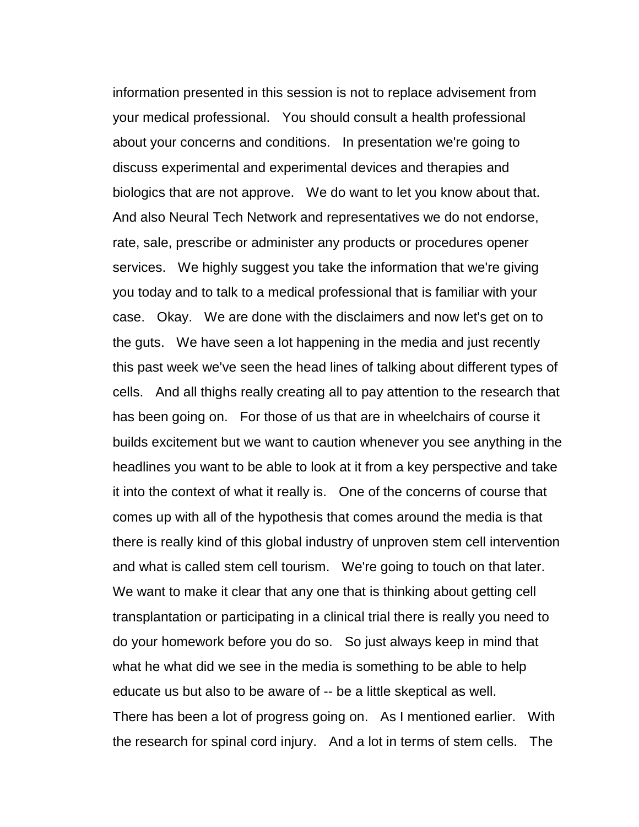information presented in this session is not to replace advisement from your medical professional. You should consult a health professional about your concerns and conditions. In presentation we're going to discuss experimental and experimental devices and therapies and biologics that are not approve. We do want to let you know about that. And also Neural Tech Network and representatives we do not endorse, rate, sale, prescribe or administer any products or procedures opener services. We highly suggest you take the information that we're giving you today and to talk to a medical professional that is familiar with your case. Okay. We are done with the disclaimers and now let's get on to the guts. We have seen a lot happening in the media and just recently this past week we've seen the head lines of talking about different types of cells. And all thighs really creating all to pay attention to the research that has been going on. For those of us that are in wheelchairs of course it builds excitement but we want to caution whenever you see anything in the headlines you want to be able to look at it from a key perspective and take it into the context of what it really is. One of the concerns of course that comes up with all of the hypothesis that comes around the media is that there is really kind of this global industry of unproven stem cell intervention and what is called stem cell tourism. We're going to touch on that later. We want to make it clear that any one that is thinking about getting cell transplantation or participating in a clinical trial there is really you need to do your homework before you do so. So just always keep in mind that what he what did we see in the media is something to be able to help educate us but also to be aware of -- be a little skeptical as well. There has been a lot of progress going on. As I mentioned earlier. With the research for spinal cord injury. And a lot in terms of stem cells. The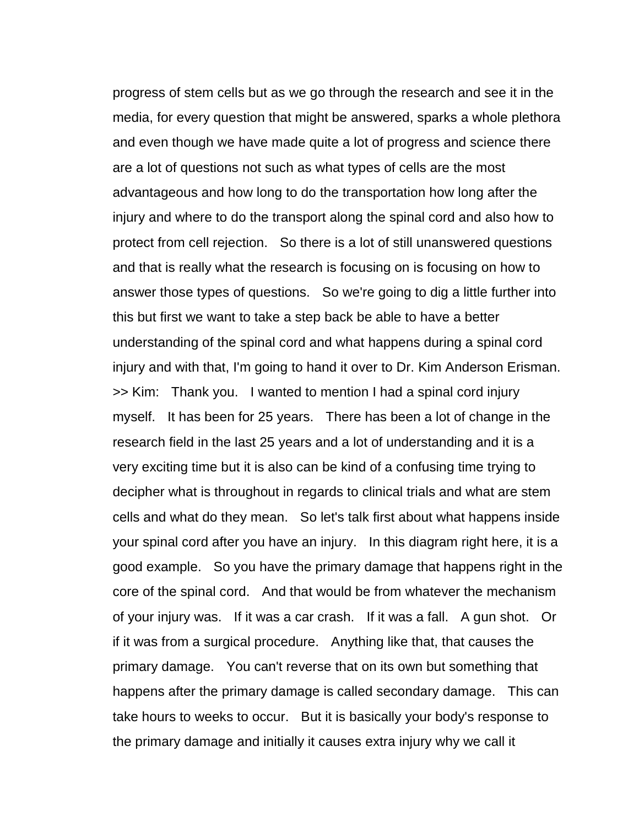progress of stem cells but as we go through the research and see it in the media, for every question that might be answered, sparks a whole plethora and even though we have made quite a lot of progress and science there are a lot of questions not such as what types of cells are the most advantageous and how long to do the transportation how long after the injury and where to do the transport along the spinal cord and also how to protect from cell rejection. So there is a lot of still unanswered questions and that is really what the research is focusing on is focusing on how to answer those types of questions. So we're going to dig a little further into this but first we want to take a step back be able to have a better understanding of the spinal cord and what happens during a spinal cord injury and with that, I'm going to hand it over to Dr. Kim Anderson Erisman. >> Kim: Thank you. I wanted to mention I had a spinal cord injury myself. It has been for 25 years. There has been a lot of change in the research field in the last 25 years and a lot of understanding and it is a very exciting time but it is also can be kind of a confusing time trying to decipher what is throughout in regards to clinical trials and what are stem cells and what do they mean. So let's talk first about what happens inside your spinal cord after you have an injury. In this diagram right here, it is a good example. So you have the primary damage that happens right in the core of the spinal cord. And that would be from whatever the mechanism of your injury was. If it was a car crash. If it was a fall. A gun shot. Or if it was from a surgical procedure. Anything like that, that causes the primary damage. You can't reverse that on its own but something that happens after the primary damage is called secondary damage. This can take hours to weeks to occur. But it is basically your body's response to the primary damage and initially it causes extra injury why we call it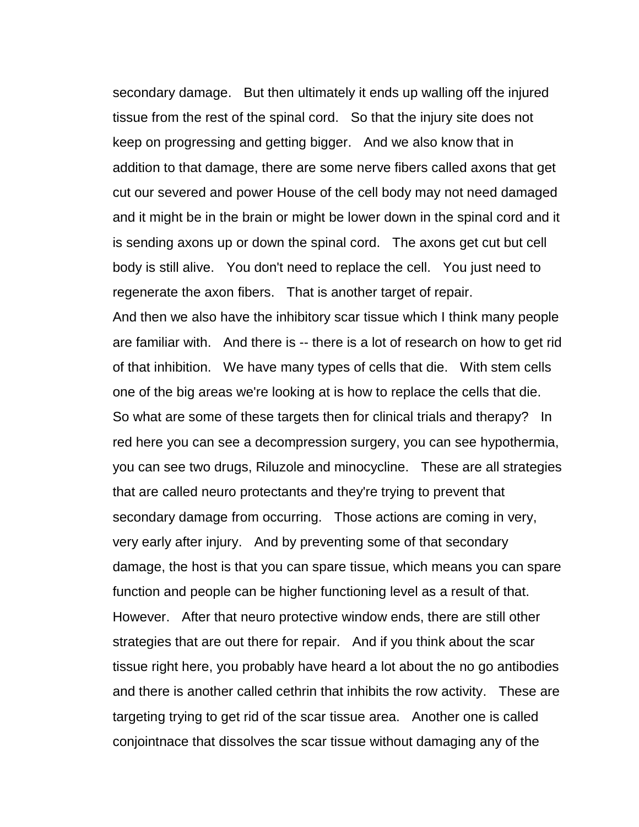secondary damage. But then ultimately it ends up walling off the injured tissue from the rest of the spinal cord. So that the injury site does not keep on progressing and getting bigger. And we also know that in addition to that damage, there are some nerve fibers called axons that get cut our severed and power House of the cell body may not need damaged and it might be in the brain or might be lower down in the spinal cord and it is sending axons up or down the spinal cord. The axons get cut but cell body is still alive. You don't need to replace the cell. You just need to regenerate the axon fibers. That is another target of repair. And then we also have the inhibitory scar tissue which I think many people are familiar with. And there is -- there is a lot of research on how to get rid of that inhibition. We have many types of cells that die. With stem cells one of the big areas we're looking at is how to replace the cells that die. So what are some of these targets then for clinical trials and therapy? In

red here you can see a decompression surgery, you can see hypothermia, you can see two drugs, Riluzole and minocycline. These are all strategies that are called neuro protectants and they're trying to prevent that secondary damage from occurring. Those actions are coming in very, very early after injury. And by preventing some of that secondary damage, the host is that you can spare tissue, which means you can spare function and people can be higher functioning level as a result of that. However. After that neuro protective window ends, there are still other strategies that are out there for repair. And if you think about the scar tissue right here, you probably have heard a lot about the no go antibodies and there is another called cethrin that inhibits the row activity. These are targeting trying to get rid of the scar tissue area. Another one is called conjointnace that dissolves the scar tissue without damaging any of the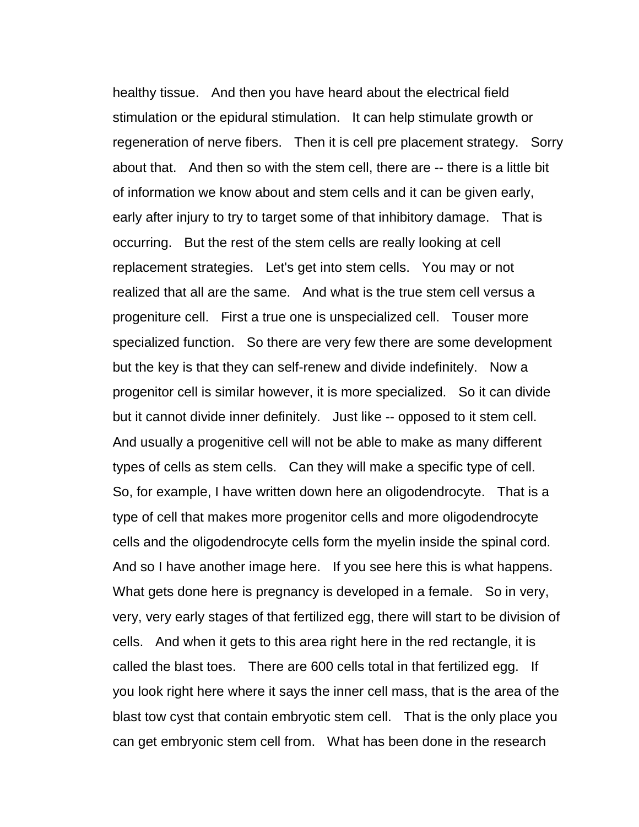healthy tissue. And then you have heard about the electrical field stimulation or the epidural stimulation. It can help stimulate growth or regeneration of nerve fibers. Then it is cell pre placement strategy. Sorry about that. And then so with the stem cell, there are -- there is a little bit of information we know about and stem cells and it can be given early, early after injury to try to target some of that inhibitory damage. That is occurring. But the rest of the stem cells are really looking at cell replacement strategies. Let's get into stem cells. You may or not realized that all are the same. And what is the true stem cell versus a progeniture cell. First a true one is unspecialized cell. Touser more specialized function. So there are very few there are some development but the key is that they can self-renew and divide indefinitely. Now a progenitor cell is similar however, it is more specialized. So it can divide but it cannot divide inner definitely. Just like -- opposed to it stem cell. And usually a progenitive cell will not be able to make as many different types of cells as stem cells. Can they will make a specific type of cell. So, for example, I have written down here an oligodendrocyte. That is a type of cell that makes more progenitor cells and more oligodendrocyte cells and the oligodendrocyte cells form the myelin inside the spinal cord. And so I have another image here. If you see here this is what happens. What gets done here is pregnancy is developed in a female. So in very, very, very early stages of that fertilized egg, there will start to be division of cells. And when it gets to this area right here in the red rectangle, it is called the blast toes. There are 600 cells total in that fertilized egg. If you look right here where it says the inner cell mass, that is the area of the blast tow cyst that contain embryotic stem cell. That is the only place you can get embryonic stem cell from. What has been done in the research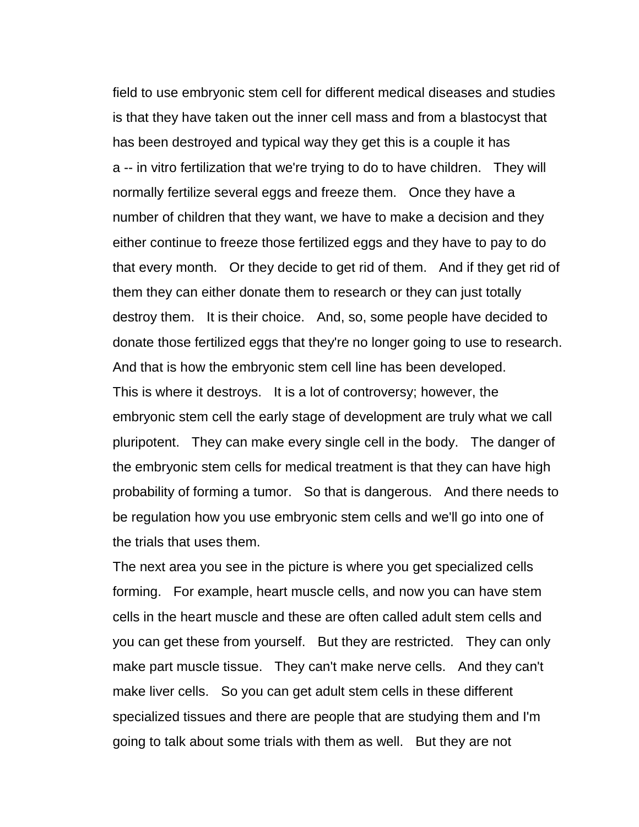field to use embryonic stem cell for different medical diseases and studies is that they have taken out the inner cell mass and from a blastocyst that has been destroyed and typical way they get this is a couple it has a -- in vitro fertilization that we're trying to do to have children. They will normally fertilize several eggs and freeze them. Once they have a number of children that they want, we have to make a decision and they either continue to freeze those fertilized eggs and they have to pay to do that every month. Or they decide to get rid of them. And if they get rid of them they can either donate them to research or they can just totally destroy them. It is their choice. And, so, some people have decided to donate those fertilized eggs that they're no longer going to use to research. And that is how the embryonic stem cell line has been developed. This is where it destroys. It is a lot of controversy; however, the embryonic stem cell the early stage of development are truly what we call pluripotent. They can make every single cell in the body. The danger of the embryonic stem cells for medical treatment is that they can have high probability of forming a tumor. So that is dangerous. And there needs to be regulation how you use embryonic stem cells and we'll go into one of the trials that uses them.

The next area you see in the picture is where you get specialized cells forming. For example, heart muscle cells, and now you can have stem cells in the heart muscle and these are often called adult stem cells and you can get these from yourself. But they are restricted. They can only make part muscle tissue. They can't make nerve cells. And they can't make liver cells. So you can get adult stem cells in these different specialized tissues and there are people that are studying them and I'm going to talk about some trials with them as well. But they are not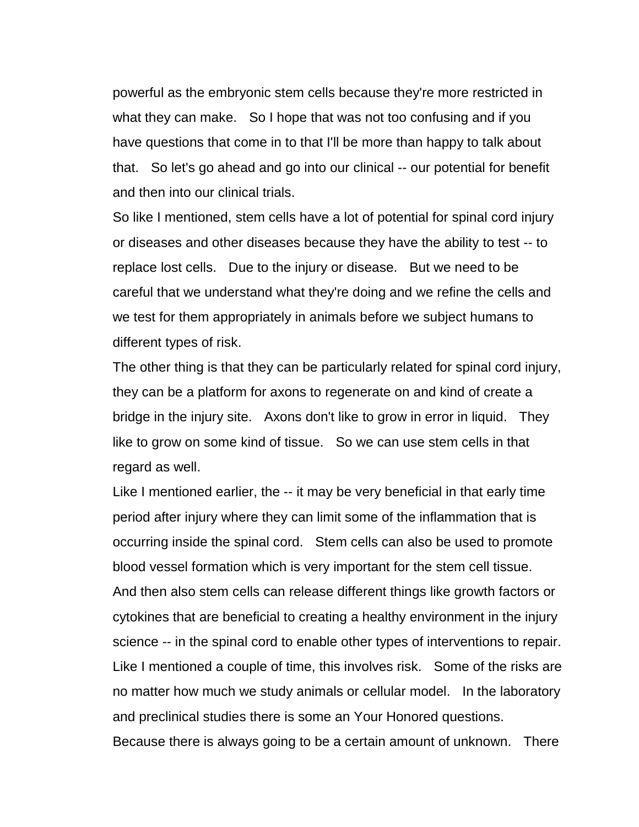powerful as the embryonic stem cells because they're more restricted in what they can make. So I hope that was not too confusing and if you have questions that come in to that I'll be more than happy to talk about that. So let's go ahead and go into our clinical -- our potential for benefit and then into our clinical trials.

So like I mentioned, stem cells have a lot of potential for spinal cord injury or diseases and other diseases because they have the ability to test -- to replace lost cells. Due to the injury or disease. But we need to be careful that we understand what they're doing and we refine the cells and we test for them appropriately in animals before we subject humans to different types of risk.

The other thing is that they can be particularly related for spinal cord injury, they can be a platform for axons to regenerate on and kind of create a bridge in the injury site. Axons don't like to grow in error in liquid. They like to grow on some kind of tissue. So we can use stem cells in that regard as well.

Like I mentioned earlier, the -- it may be very beneficial in that early time period after injury where they can limit some of the inflammation that is occurring inside the spinal cord. Stem cells can also be used to promote blood vessel formation which is very important for the stem cell tissue. And then also stem cells can release different things like growth factors or cytokines that are beneficial to creating a healthy environment in the injury science -- in the spinal cord to enable other types of interventions to repair. Like I mentioned a couple of time, this involves risk. Some of the risks are no matter how much we study animals or cellular model. In the laboratory and preclinical studies there is some an Your Honored questions.

Because there is always going to be a certain amount of unknown. There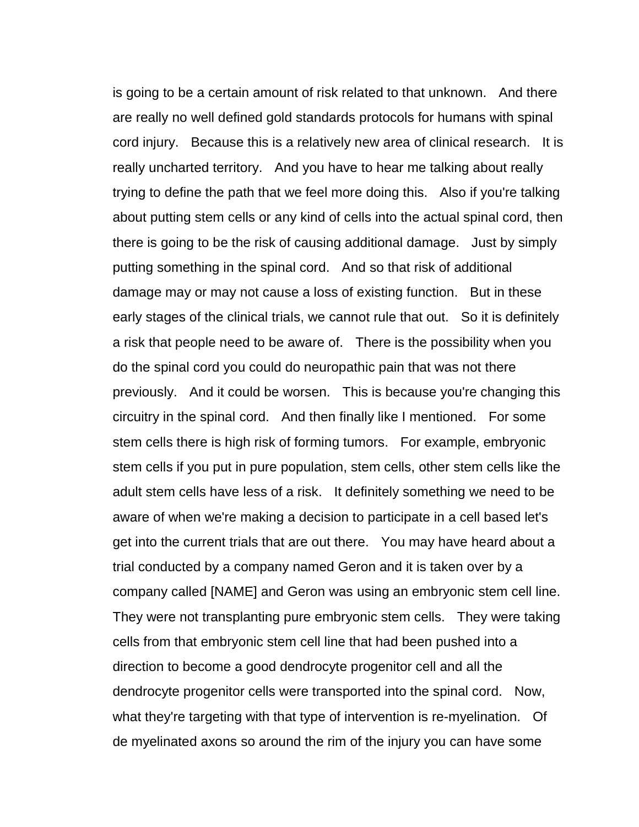is going to be a certain amount of risk related to that unknown. And there are really no well defined gold standards protocols for humans with spinal cord injury. Because this is a relatively new area of clinical research. It is really uncharted territory. And you have to hear me talking about really trying to define the path that we feel more doing this. Also if you're talking about putting stem cells or any kind of cells into the actual spinal cord, then there is going to be the risk of causing additional damage. Just by simply putting something in the spinal cord. And so that risk of additional damage may or may not cause a loss of existing function. But in these early stages of the clinical trials, we cannot rule that out. So it is definitely a risk that people need to be aware of. There is the possibility when you do the spinal cord you could do neuropathic pain that was not there previously. And it could be worsen. This is because you're changing this circuitry in the spinal cord. And then finally like I mentioned. For some stem cells there is high risk of forming tumors. For example, embryonic stem cells if you put in pure population, stem cells, other stem cells like the adult stem cells have less of a risk. It definitely something we need to be aware of when we're making a decision to participate in a cell based let's get into the current trials that are out there. You may have heard about a trial conducted by a company named Geron and it is taken over by a company called [NAME] and Geron was using an embryonic stem cell line. They were not transplanting pure embryonic stem cells. They were taking cells from that embryonic stem cell line that had been pushed into a direction to become a good dendrocyte progenitor cell and all the dendrocyte progenitor cells were transported into the spinal cord. Now, what they're targeting with that type of intervention is re-myelination. Of de myelinated axons so around the rim of the injury you can have some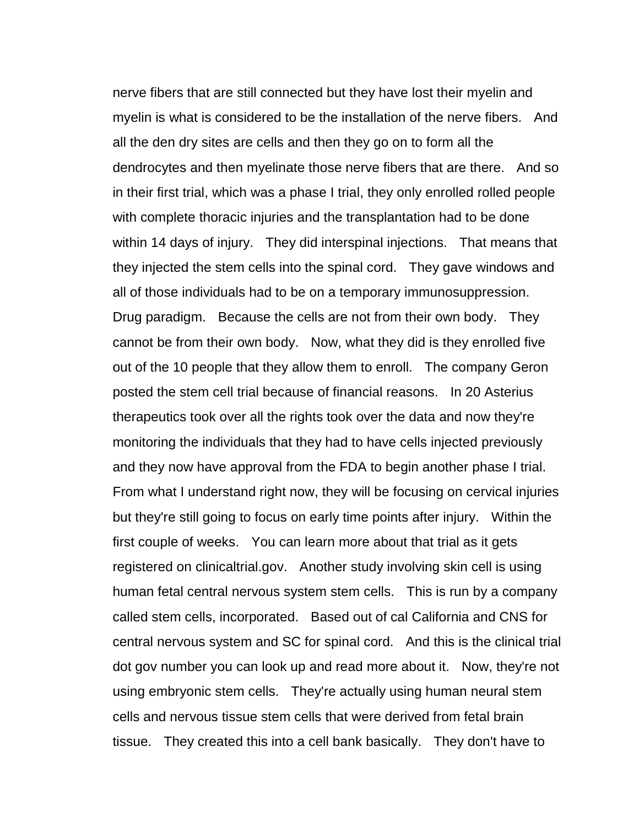nerve fibers that are still connected but they have lost their myelin and myelin is what is considered to be the installation of the nerve fibers. And all the den dry sites are cells and then they go on to form all the dendrocytes and then myelinate those nerve fibers that are there. And so in their first trial, which was a phase I trial, they only enrolled rolled people with complete thoracic injuries and the transplantation had to be done within 14 days of injury. They did interspinal injections. That means that they injected the stem cells into the spinal cord. They gave windows and all of those individuals had to be on a temporary immunosuppression. Drug paradigm. Because the cells are not from their own body. They cannot be from their own body. Now, what they did is they enrolled five out of the 10 people that they allow them to enroll. The company Geron posted the stem cell trial because of financial reasons. In 20 Asterius therapeutics took over all the rights took over the data and now they're monitoring the individuals that they had to have cells injected previously and they now have approval from the FDA to begin another phase I trial. From what I understand right now, they will be focusing on cervical injuries but they're still going to focus on early time points after injury. Within the first couple of weeks. You can learn more about that trial as it gets registered on clinicaltrial.gov. Another study involving skin cell is using human fetal central nervous system stem cells. This is run by a company called stem cells, incorporated. Based out of cal California and CNS for central nervous system and SC for spinal cord. And this is the clinical trial dot gov number you can look up and read more about it. Now, they're not using embryonic stem cells. They're actually using human neural stem cells and nervous tissue stem cells that were derived from fetal brain tissue. They created this into a cell bank basically. They don't have to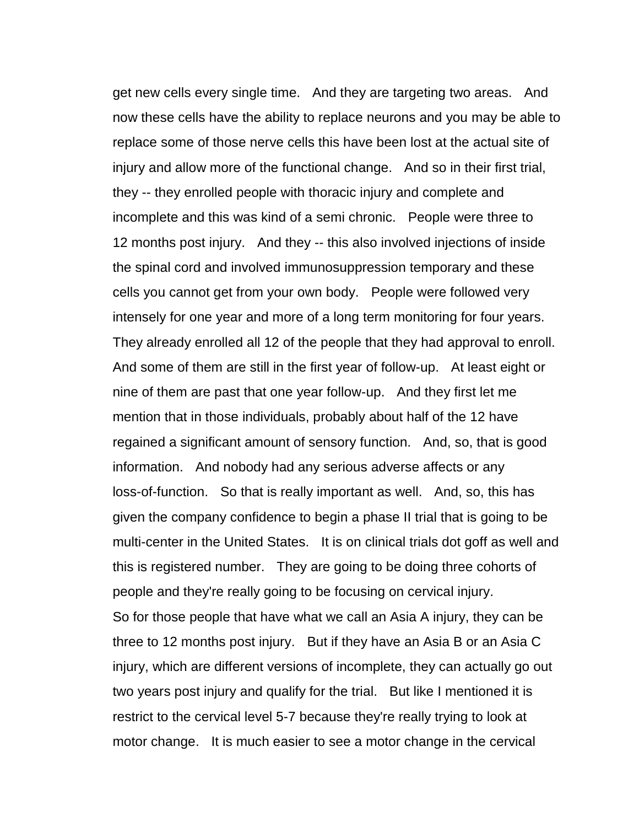get new cells every single time. And they are targeting two areas. And now these cells have the ability to replace neurons and you may be able to replace some of those nerve cells this have been lost at the actual site of injury and allow more of the functional change. And so in their first trial, they -- they enrolled people with thoracic injury and complete and incomplete and this was kind of a semi chronic. People were three to 12 months post injury. And they -- this also involved injections of inside the spinal cord and involved immunosuppression temporary and these cells you cannot get from your own body. People were followed very intensely for one year and more of a long term monitoring for four years. They already enrolled all 12 of the people that they had approval to enroll. And some of them are still in the first year of follow-up. At least eight or nine of them are past that one year follow-up. And they first let me mention that in those individuals, probably about half of the 12 have regained a significant amount of sensory function. And, so, that is good information. And nobody had any serious adverse affects or any loss-of-function. So that is really important as well. And, so, this has given the company confidence to begin a phase II trial that is going to be multi-center in the United States. It is on clinical trials dot goff as well and this is registered number. They are going to be doing three cohorts of people and they're really going to be focusing on cervical injury. So for those people that have what we call an Asia A injury, they can be three to 12 months post injury. But if they have an Asia B or an Asia C injury, which are different versions of incomplete, they can actually go out two years post injury and qualify for the trial. But like I mentioned it is restrict to the cervical level 5-7 because they're really trying to look at motor change. It is much easier to see a motor change in the cervical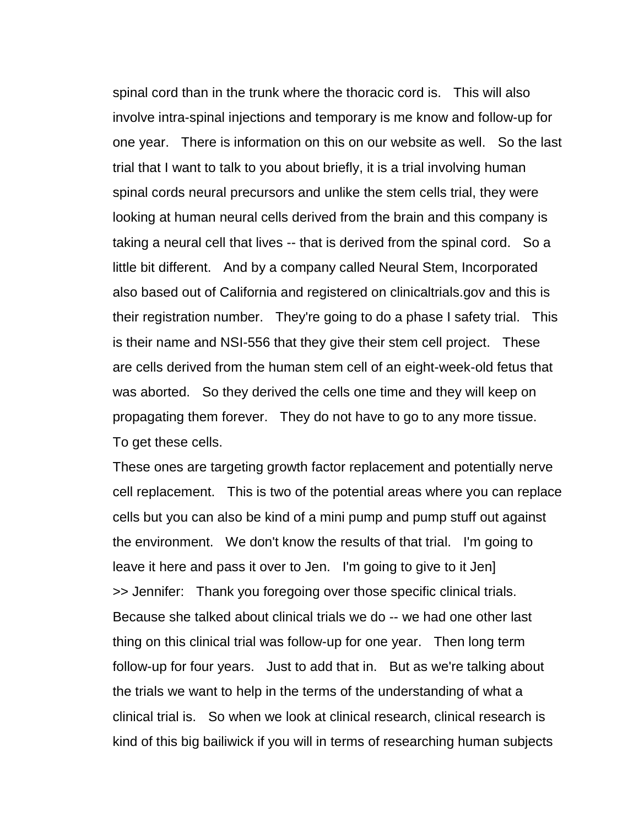spinal cord than in the trunk where the thoracic cord is. This will also involve intra-spinal injections and temporary is me know and follow-up for one year. There is information on this on our website as well. So the last trial that I want to talk to you about briefly, it is a trial involving human spinal cords neural precursors and unlike the stem cells trial, they were looking at human neural cells derived from the brain and this company is taking a neural cell that lives -- that is derived from the spinal cord. So a little bit different. And by a company called Neural Stem, Incorporated also based out of California and registered on clinicaltrials.gov and this is their registration number. They're going to do a phase I safety trial. This is their name and NSI-556 that they give their stem cell project. These are cells derived from the human stem cell of an eight-week-old fetus that was aborted. So they derived the cells one time and they will keep on propagating them forever. They do not have to go to any more tissue. To get these cells.

These ones are targeting growth factor replacement and potentially nerve cell replacement. This is two of the potential areas where you can replace cells but you can also be kind of a mini pump and pump stuff out against the environment. We don't know the results of that trial. I'm going to leave it here and pass it over to Jen. I'm going to give to it Jen] >> Jennifer: Thank you foregoing over those specific clinical trials. Because she talked about clinical trials we do -- we had one other last thing on this clinical trial was follow-up for one year. Then long term follow-up for four years. Just to add that in. But as we're talking about the trials we want to help in the terms of the understanding of what a clinical trial is. So when we look at clinical research, clinical research is kind of this big bailiwick if you will in terms of researching human subjects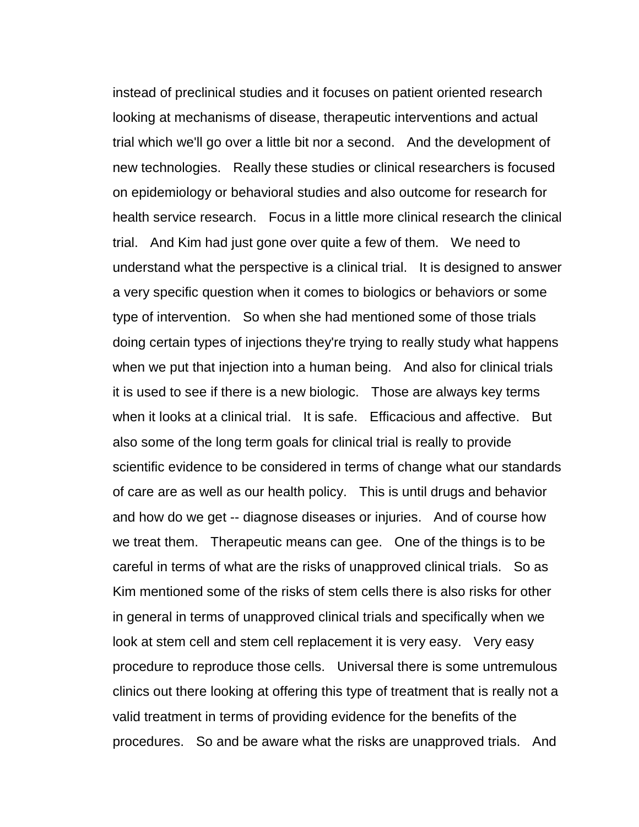instead of preclinical studies and it focuses on patient oriented research looking at mechanisms of disease, therapeutic interventions and actual trial which we'll go over a little bit nor a second. And the development of new technologies. Really these studies or clinical researchers is focused on epidemiology or behavioral studies and also outcome for research for health service research. Focus in a little more clinical research the clinical trial. And Kim had just gone over quite a few of them. We need to understand what the perspective is a clinical trial. It is designed to answer a very specific question when it comes to biologics or behaviors or some type of intervention. So when she had mentioned some of those trials doing certain types of injections they're trying to really study what happens when we put that injection into a human being. And also for clinical trials it is used to see if there is a new biologic. Those are always key terms when it looks at a clinical trial. It is safe. Efficacious and affective. But also some of the long term goals for clinical trial is really to provide scientific evidence to be considered in terms of change what our standards of care are as well as our health policy. This is until drugs and behavior and how do we get -- diagnose diseases or injuries. And of course how we treat them. Therapeutic means can gee. One of the things is to be careful in terms of what are the risks of unapproved clinical trials. So as Kim mentioned some of the risks of stem cells there is also risks for other in general in terms of unapproved clinical trials and specifically when we look at stem cell and stem cell replacement it is very easy. Very easy procedure to reproduce those cells. Universal there is some untremulous clinics out there looking at offering this type of treatment that is really not a valid treatment in terms of providing evidence for the benefits of the procedures. So and be aware what the risks are unapproved trials. And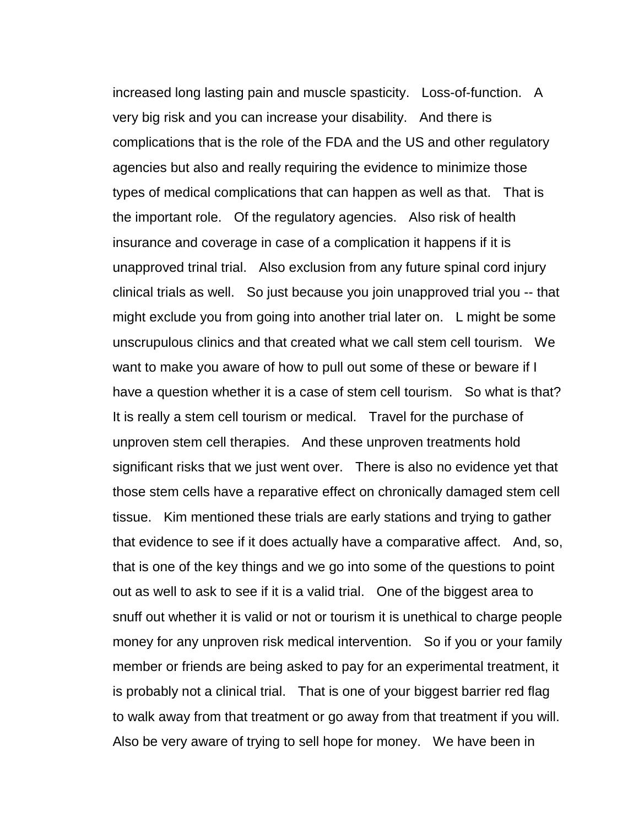increased long lasting pain and muscle spasticity. Loss-of-function. A very big risk and you can increase your disability. And there is complications that is the role of the FDA and the US and other regulatory agencies but also and really requiring the evidence to minimize those types of medical complications that can happen as well as that. That is the important role. Of the regulatory agencies. Also risk of health insurance and coverage in case of a complication it happens if it is unapproved trinal trial. Also exclusion from any future spinal cord injury clinical trials as well. So just because you join unapproved trial you -- that might exclude you from going into another trial later on. L might be some unscrupulous clinics and that created what we call stem cell tourism. We want to make you aware of how to pull out some of these or beware if I have a question whether it is a case of stem cell tourism. So what is that? It is really a stem cell tourism or medical. Travel for the purchase of unproven stem cell therapies. And these unproven treatments hold significant risks that we just went over. There is also no evidence yet that those stem cells have a reparative effect on chronically damaged stem cell tissue. Kim mentioned these trials are early stations and trying to gather that evidence to see if it does actually have a comparative affect. And, so, that is one of the key things and we go into some of the questions to point out as well to ask to see if it is a valid trial. One of the biggest area to snuff out whether it is valid or not or tourism it is unethical to charge people money for any unproven risk medical intervention. So if you or your family member or friends are being asked to pay for an experimental treatment, it is probably not a clinical trial. That is one of your biggest barrier red flag to walk away from that treatment or go away from that treatment if you will. Also be very aware of trying to sell hope for money. We have been in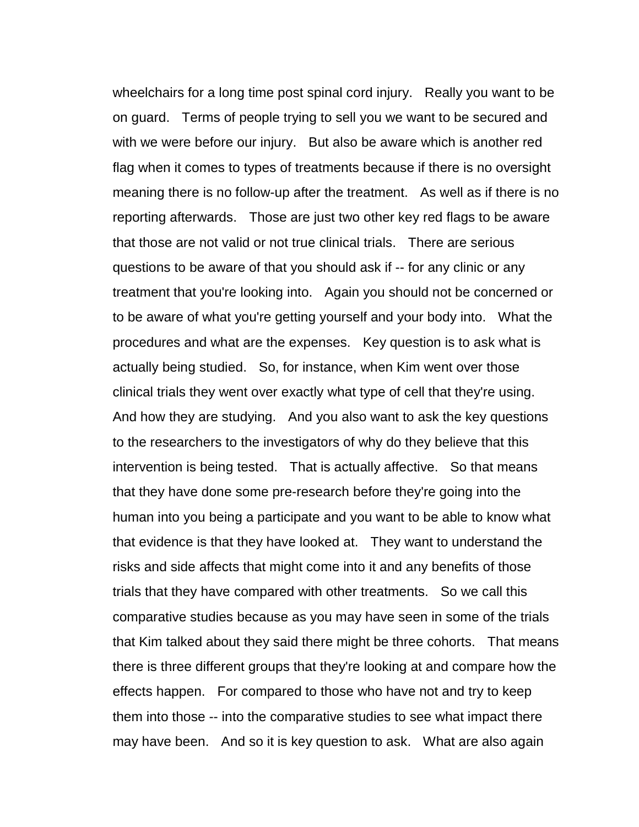wheelchairs for a long time post spinal cord injury. Really you want to be on guard. Terms of people trying to sell you we want to be secured and with we were before our injury. But also be aware which is another red flag when it comes to types of treatments because if there is no oversight meaning there is no follow-up after the treatment. As well as if there is no reporting afterwards. Those are just two other key red flags to be aware that those are not valid or not true clinical trials. There are serious questions to be aware of that you should ask if -- for any clinic or any treatment that you're looking into. Again you should not be concerned or to be aware of what you're getting yourself and your body into. What the procedures and what are the expenses. Key question is to ask what is actually being studied. So, for instance, when Kim went over those clinical trials they went over exactly what type of cell that they're using. And how they are studying. And you also want to ask the key questions to the researchers to the investigators of why do they believe that this intervention is being tested. That is actually affective. So that means that they have done some pre-research before they're going into the human into you being a participate and you want to be able to know what that evidence is that they have looked at. They want to understand the risks and side affects that might come into it and any benefits of those trials that they have compared with other treatments. So we call this comparative studies because as you may have seen in some of the trials that Kim talked about they said there might be three cohorts. That means there is three different groups that they're looking at and compare how the effects happen. For compared to those who have not and try to keep them into those -- into the comparative studies to see what impact there may have been. And so it is key question to ask. What are also again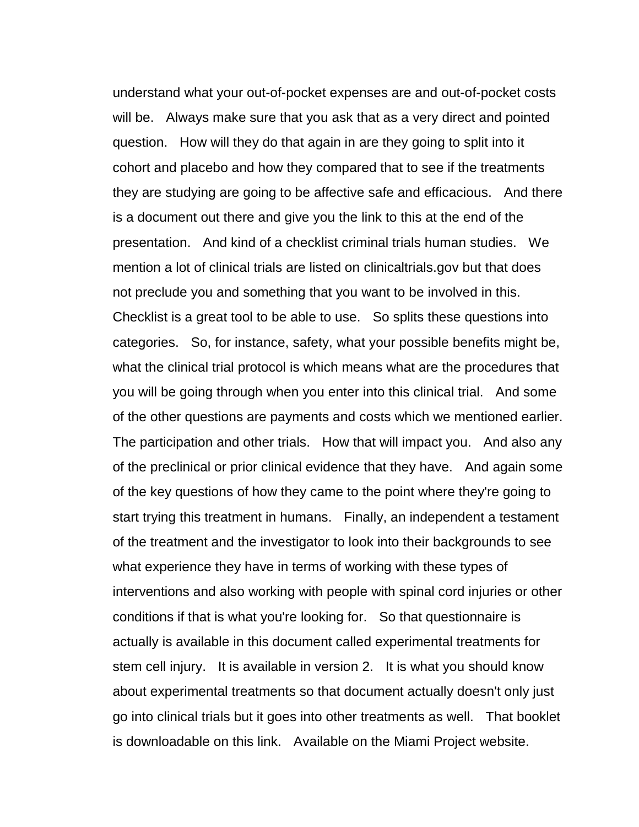understand what your out-of-pocket expenses are and out-of-pocket costs will be. Always make sure that you ask that as a very direct and pointed question. How will they do that again in are they going to split into it cohort and placebo and how they compared that to see if the treatments they are studying are going to be affective safe and efficacious. And there is a document out there and give you the link to this at the end of the presentation. And kind of a checklist criminal trials human studies. We mention a lot of clinical trials are listed on clinicaltrials.gov but that does not preclude you and something that you want to be involved in this. Checklist is a great tool to be able to use. So splits these questions into categories. So, for instance, safety, what your possible benefits might be, what the clinical trial protocol is which means what are the procedures that you will be going through when you enter into this clinical trial. And some of the other questions are payments and costs which we mentioned earlier. The participation and other trials. How that will impact you. And also any of the preclinical or prior clinical evidence that they have. And again some of the key questions of how they came to the point where they're going to start trying this treatment in humans. Finally, an independent a testament of the treatment and the investigator to look into their backgrounds to see what experience they have in terms of working with these types of interventions and also working with people with spinal cord injuries or other conditions if that is what you're looking for. So that questionnaire is actually is available in this document called experimental treatments for stem cell injury. It is available in version 2. It is what you should know about experimental treatments so that document actually doesn't only just go into clinical trials but it goes into other treatments as well. That booklet is downloadable on this link. Available on the Miami Project website.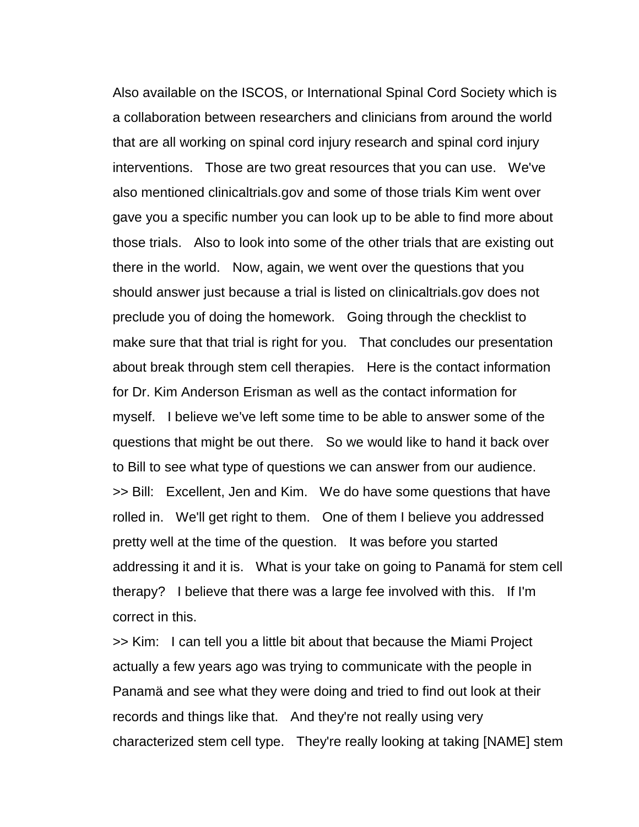Also available on the ISCOS, or International Spinal Cord Society which is a collaboration between researchers and clinicians from around the world that are all working on spinal cord injury research and spinal cord injury interventions. Those are two great resources that you can use. We've also mentioned clinicaltrials.gov and some of those trials Kim went over gave you a specific number you can look up to be able to find more about those trials. Also to look into some of the other trials that are existing out there in the world. Now, again, we went over the questions that you should answer just because a trial is listed on clinicaltrials.gov does not preclude you of doing the homework. Going through the checklist to make sure that that trial is right for you. That concludes our presentation about break through stem cell therapies. Here is the contact information for Dr. Kim Anderson Erisman as well as the contact information for myself. I believe we've left some time to be able to answer some of the questions that might be out there. So we would like to hand it back over to Bill to see what type of questions we can answer from our audience. >> Bill: Excellent, Jen and Kim. We do have some questions that have rolled in. We'll get right to them. One of them I believe you addressed pretty well at the time of the question. It was before you started addressing it and it is. What is your take on going to Panamä for stem cell therapy? I believe that there was a large fee involved with this. If I'm correct in this.

>> Kim: I can tell you a little bit about that because the Miami Project actually a few years ago was trying to communicate with the people in Panamä and see what they were doing and tried to find out look at their records and things like that. And they're not really using very characterized stem cell type. They're really looking at taking [NAME] stem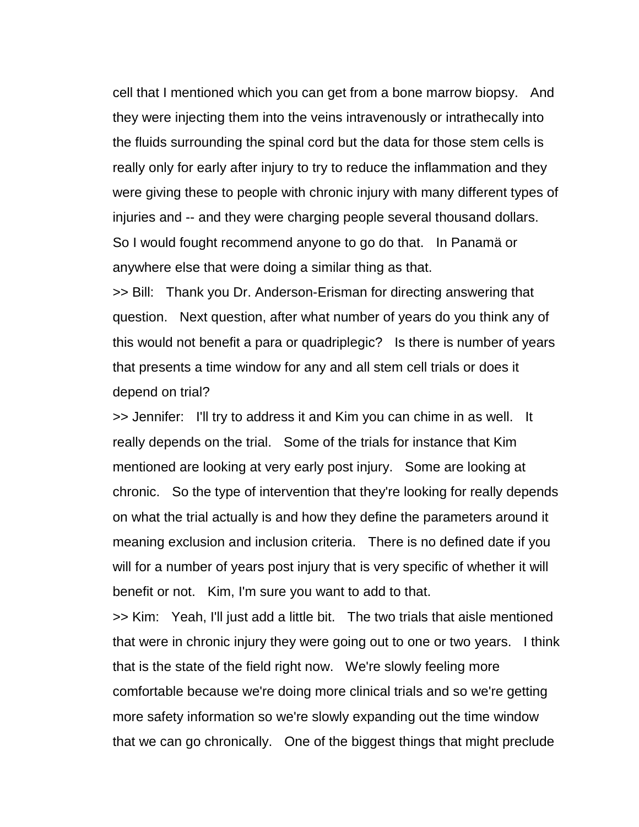cell that I mentioned which you can get from a bone marrow biopsy. And they were injecting them into the veins intravenously or intrathecally into the fluids surrounding the spinal cord but the data for those stem cells is really only for early after injury to try to reduce the inflammation and they were giving these to people with chronic injury with many different types of injuries and -- and they were charging people several thousand dollars. So I would fought recommend anyone to go do that. In Panamä or anywhere else that were doing a similar thing as that.

>> Bill: Thank you Dr. Anderson-Erisman for directing answering that question. Next question, after what number of years do you think any of this would not benefit a para or quadriplegic? Is there is number of years that presents a time window for any and all stem cell trials or does it depend on trial?

>> Jennifer: I'll try to address it and Kim you can chime in as well. It really depends on the trial. Some of the trials for instance that Kim mentioned are looking at very early post injury. Some are looking at chronic. So the type of intervention that they're looking for really depends on what the trial actually is and how they define the parameters around it meaning exclusion and inclusion criteria. There is no defined date if you will for a number of years post injury that is very specific of whether it will benefit or not. Kim, I'm sure you want to add to that.

>> Kim: Yeah, I'll just add a little bit. The two trials that aisle mentioned that were in chronic injury they were going out to one or two years. I think that is the state of the field right now. We're slowly feeling more comfortable because we're doing more clinical trials and so we're getting more safety information so we're slowly expanding out the time window that we can go chronically. One of the biggest things that might preclude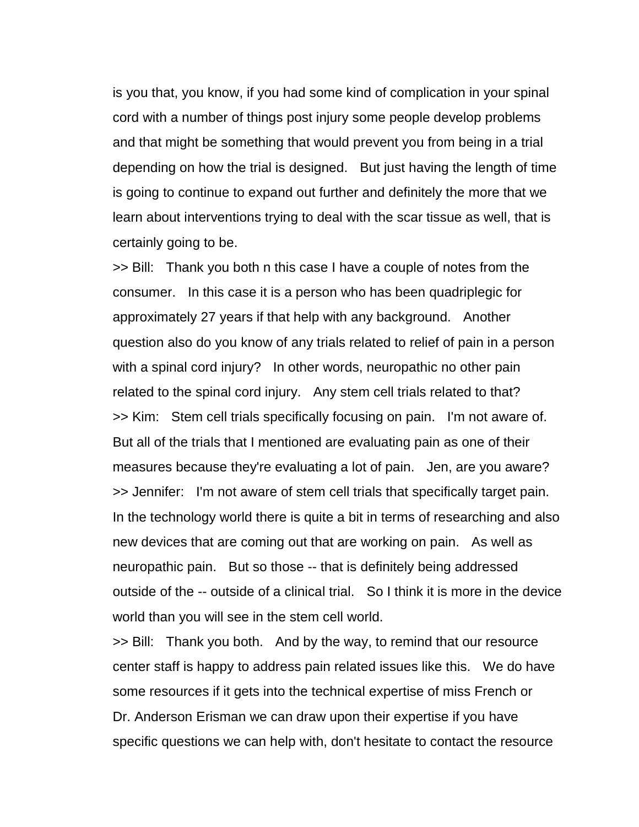is you that, you know, if you had some kind of complication in your spinal cord with a number of things post injury some people develop problems and that might be something that would prevent you from being in a trial depending on how the trial is designed. But just having the length of time is going to continue to expand out further and definitely the more that we learn about interventions trying to deal with the scar tissue as well, that is certainly going to be.

>> Bill: Thank you both n this case I have a couple of notes from the consumer. In this case it is a person who has been quadriplegic for approximately 27 years if that help with any background. Another question also do you know of any trials related to relief of pain in a person with a spinal cord injury? In other words, neuropathic no other pain related to the spinal cord injury. Any stem cell trials related to that? >> Kim: Stem cell trials specifically focusing on pain. I'm not aware of. But all of the trials that I mentioned are evaluating pain as one of their measures because they're evaluating a lot of pain. Jen, are you aware? >> Jennifer: I'm not aware of stem cell trials that specifically target pain. In the technology world there is quite a bit in terms of researching and also new devices that are coming out that are working on pain. As well as neuropathic pain. But so those -- that is definitely being addressed outside of the -- outside of a clinical trial. So I think it is more in the device world than you will see in the stem cell world.

>> Bill: Thank you both. And by the way, to remind that our resource center staff is happy to address pain related issues like this. We do have some resources if it gets into the technical expertise of miss French or Dr. Anderson Erisman we can draw upon their expertise if you have specific questions we can help with, don't hesitate to contact the resource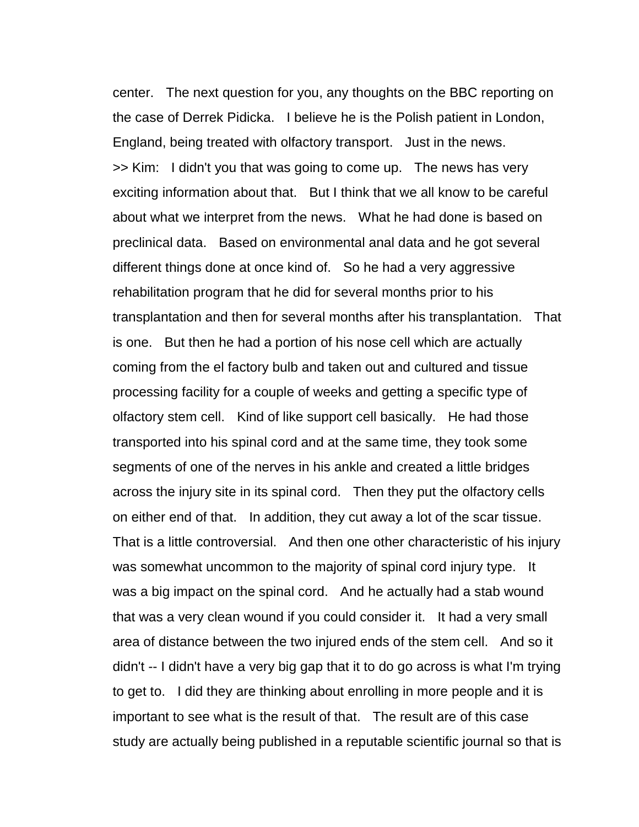center. The next question for you, any thoughts on the BBC reporting on the case of Derrek Pidicka. I believe he is the Polish patient in London, England, being treated with olfactory transport. Just in the news. >> Kim: I didn't you that was going to come up. The news has very exciting information about that. But I think that we all know to be careful about what we interpret from the news. What he had done is based on preclinical data. Based on environmental anal data and he got several different things done at once kind of. So he had a very aggressive rehabilitation program that he did for several months prior to his transplantation and then for several months after his transplantation. That is one. But then he had a portion of his nose cell which are actually coming from the el factory bulb and taken out and cultured and tissue processing facility for a couple of weeks and getting a specific type of olfactory stem cell. Kind of like support cell basically. He had those transported into his spinal cord and at the same time, they took some segments of one of the nerves in his ankle and created a little bridges across the injury site in its spinal cord. Then they put the olfactory cells on either end of that. In addition, they cut away a lot of the scar tissue. That is a little controversial. And then one other characteristic of his injury was somewhat uncommon to the majority of spinal cord injury type. It was a big impact on the spinal cord. And he actually had a stab wound that was a very clean wound if you could consider it. It had a very small area of distance between the two injured ends of the stem cell. And so it didn't -- I didn't have a very big gap that it to do go across is what I'm trying to get to. I did they are thinking about enrolling in more people and it is important to see what is the result of that. The result are of this case study are actually being published in a reputable scientific journal so that is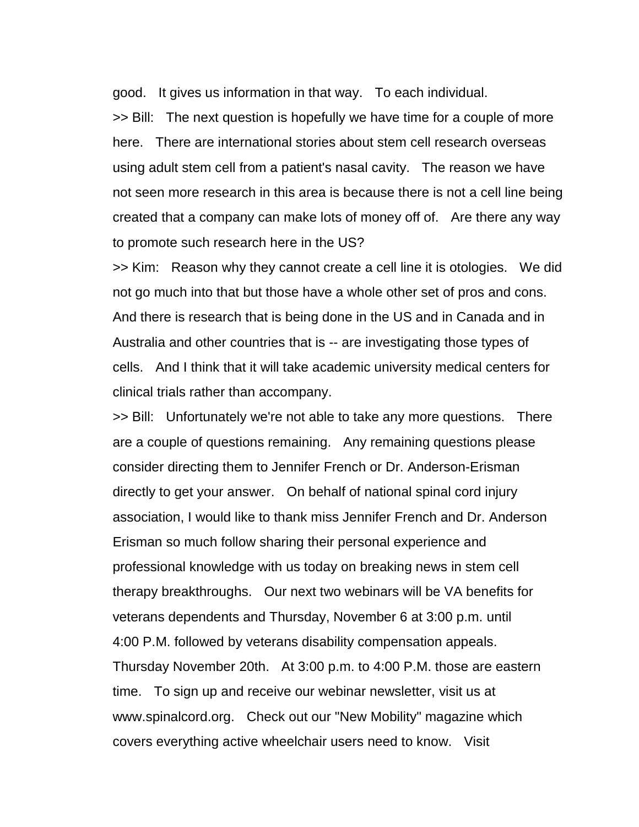good. It gives us information in that way. To each individual.

>> Bill: The next question is hopefully we have time for a couple of more here. There are international stories about stem cell research overseas using adult stem cell from a patient's nasal cavity. The reason we have not seen more research in this area is because there is not a cell line being created that a company can make lots of money off of. Are there any way to promote such research here in the US?

>> Kim: Reason why they cannot create a cell line it is otologies. We did not go much into that but those have a whole other set of pros and cons. And there is research that is being done in the US and in Canada and in Australia and other countries that is -- are investigating those types of cells. And I think that it will take academic university medical centers for clinical trials rather than accompany.

>> Bill: Unfortunately we're not able to take any more questions. There are a couple of questions remaining. Any remaining questions please consider directing them to Jennifer French or Dr. Anderson-Erisman directly to get your answer. On behalf of national spinal cord injury association, I would like to thank miss Jennifer French and Dr. Anderson Erisman so much follow sharing their personal experience and professional knowledge with us today on breaking news in stem cell therapy breakthroughs. Our next two webinars will be VA benefits for veterans dependents and Thursday, November 6 at 3:00 p.m. until 4:00 P.M. followed by veterans disability compensation appeals. Thursday November 20th. At 3:00 p.m. to 4:00 P.M. those are eastern time. To sign up and receive our webinar newsletter, visit us at www.spinalcord.org. Check out our "New Mobility" magazine which covers everything active wheelchair users need to know. Visit